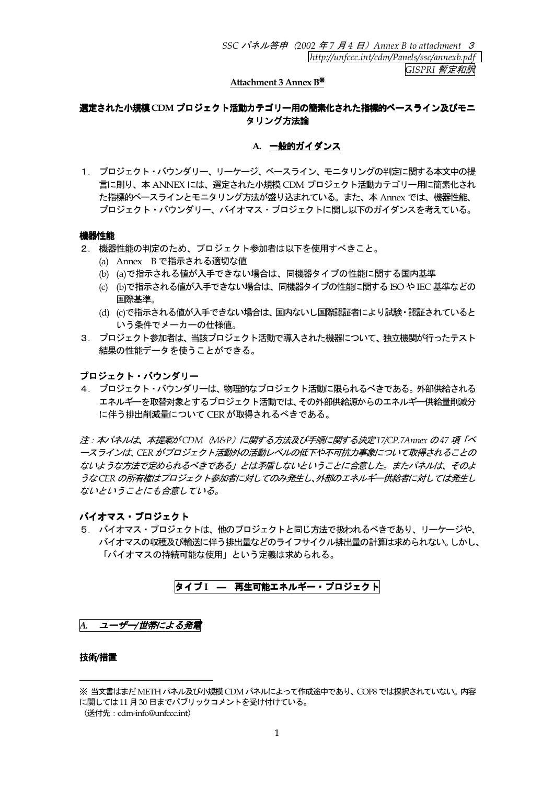# Attachment 3 Annex B\*

# 選定された小規模 CDM プロジェクト活動カテゴリー用の簡素化された指標的ベースライン及びモニ タリング方法論

## A. 一般的ガイダンス

1. プロジェクト・バウンダリー、リーケージ、ベースライン、モニタリングの判定に関する本文中の提 言に則り、本 ANNEX には、選定された小規模 CDM プロジェクト活動カテゴリー用に簡素化され た指標的ベースラインとモニタリング方法が盛り込まれている。また、本 Annex では、機器性能、 プロジェクト・バウンダリー、バイオマス・プロジェクトに関し以下のガイダンスを考えている。

## 機器性能

- 2. 機器性能の判定のため、プロジェクト参加者は以下を使用すべきこと。
	- (a) Annex Bで指示される適切な値
	- (b) (a)で指示される値が入手できない場合は、同機器タイプの性能に関する国内基準
	- (c) (b)で指示される値が入手できない場合は、同機器タイプの性能に関する ISO や IEC 基準などの 国際基準。
	- (d) (c)で指示される値が入手できない場合は、国内ないし国際認証者により試験·認証されていると いう条件でメーカーの仕様値。
- 3. プロジェクト参加者は、当該プロジェクト活動で導入された機器について、独立機関が行ったテスト 結果の性能データを使うことができる。

プロジェクト・バウンダリー

4. プロジェクト・バウンダリーは、物理的なプロジェクト活動に限られるべきである。外部供給される エネルギーを取替対象とするプロジェクト活動では、その外部供給源からのエネルギー供給量削減分 に伴う排出削減量について CER が取得されるべきである。

注 : 本パネルは、本提案がCDM (M&P) に関する方法及び手順に関する決定17/CP.7Annex の47 項「ベ ースラインは、CER がプロジェクト活動外の活動レベルの低下や不可抗力事象について取得されることの ないような方法で定められるべきである」とは矛盾しないということに合意した。またパネルは、そのよ うなCER の所有権はプロジェクト参加者に対してのみ発生し、外部のエネルギー供給者に対しては発生し ないということにも合意している。

# バイオマス・プロジェクト

5. バイオマス・プロジェクトは、他のプロジェクトと同じ方法で扱われるべきであり、リーケージや、 バイオマスの収穫及び輸送に伴う排出量などのライフサイクル排出量の計算は求められない。しかし、 「バイオマスの持続可能な使用」という定義は求められる。

# タイプI - 再生可能エネルギー・プロジェクト

|A. ユーザー/世帯による発電

## 技術/措置

<sup>※</sup> 当文書はまだ METH パネル及び小規模 CDM パネルによって作成途中であり、 COP8 では採択されていない。 内容 に関しては11月30日までパブリックコメントを受け付けている。

<sup>(</sup>送付先: cdm-info@unfccc.int)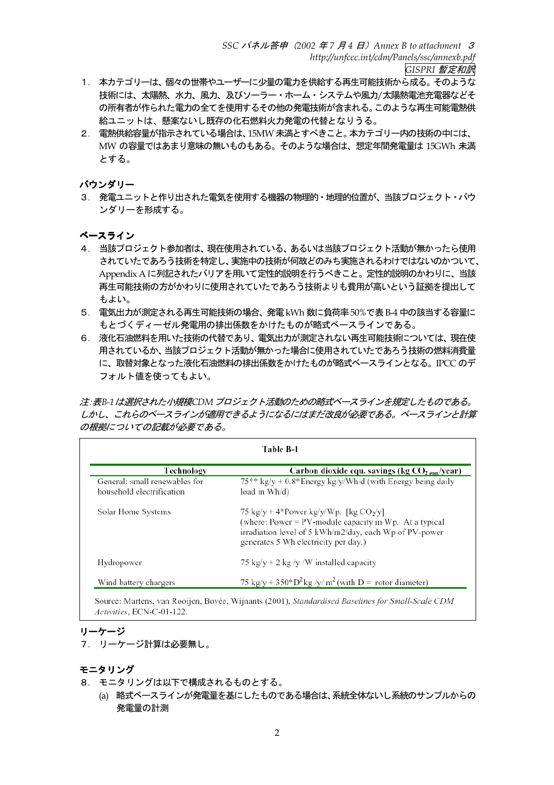- 1. 本カテゴリーは、個々の世帯やユーザーに少量の電力を供給する再生可能技術から成る。そのような 技術には、太陽熱、水力、風力、及びソーラー・ホーム・システムや風力/太陽熱電池充電器などそ の所有者が作られた電力の全てを使用するその他の発電技術が含まれる。このような再生可能電熱供 給ユニットは、懸案ないし既存の化石燃料火力発雷の代替となりうる。
- 2. 電熱供給容量が指示されている場合は、15MW 未満とすべきこと。本カテゴリー内の技術の中には、 MW の容量ではあまり意味の無いものもある。そのような場合は、想定年間発電量は 15GWh 未満 とする。

バウンダリー

3. 発電ユニットと作り出された電気を使用する機器の物理的・地理的位置が、当該プロジェクト・バウ ンダリーを形成する。

ベースライン

- 4. 当該プロジェクト参加者は、現在使用されている、あるいは当該プロジェクト活動が無かったら使用 されていたであろう技術を特定し、実施中の技術が何故どのみち実施されるわけではないのかついて、 Appendix A に列記されたバリアを用いて定性的説明を行うべきこと。定性的説明のかわりに、当該 再生可能技術の方がかわりに使用されていたであろう技術よりも費用が高いという証拠を提出して もよい。
- 5. 雷気出力が測定される再生可能技術の場合、発電 kWh 数に負荷率 50%で表 B-4 中の該当する容量に もとづくディーゼル発電用の排出係数をかけたものが略式ベースラインである。
- 6. 液化石油燃料を用いた技術の代替であり、電気出力が測定されない再生可能技術については、現在使 用されているか、当該プロジェクト活動が無かった場合に使用されていたであろう技術の燃料消費量 に、取替対象となった液化石油燃料の排出係数をかけたものが略式ベースラインとなる。IPCC のデ フォルト値を使ってもよい。

注:表B-1は選択された小規模CDM プロジェクト活動のための略式ベースラインを規定したものである。 しかし、これらのベースラインが適用できるようになるにはまだ改良が必要である。ベースラインと計算 の根拠についての記載が必要である。

| Technology                    | Carbon dioxide equ. savings (kg $CO2_{eua}/year$ )                                                                                                                                                      |  |
|-------------------------------|---------------------------------------------------------------------------------------------------------------------------------------------------------------------------------------------------------|--|
| General: small renewables for | $75***$ kg/y + 0.8* Energy kg/y/Wh/d (with Energy being daily                                                                                                                                           |  |
| household electrification     | load in Wh/d)                                                                                                                                                                                           |  |
| Solar Home Systems            | 75 kg/y + 4*Power kg/y/Wp. [kg $CO2/y$ ]<br>(where: Power = $PV$ -module capacity in Wp. At a typical<br>irradiation level of 5 kWh/m2/day, each Wp of PV-power<br>generates 5 Wh electricity per day.) |  |
| Hydropower                    | 75 kg/y + 2 kg/y /W installed capacity                                                                                                                                                                  |  |
| Wind battery chargers         | 75 kg/y + 350*D <sup>2</sup> kg/y/m <sup>2</sup> (with D = rotor diameter)                                                                                                                              |  |

Source: Martens, van Rooijen, Bovée, Wijnants (2001), Standardised Baselines for Small-Scale CDM Activities, ECN-C-01-122.

# リーケージ

7. リーケージ計算は必要無し。

- 8. モニタリングは以下で構成されるものとする。
	- (a) 略式ベースラインが発電量を基にしたものである場合は、系統全体ないし系統のサンプルからの 発電量の計測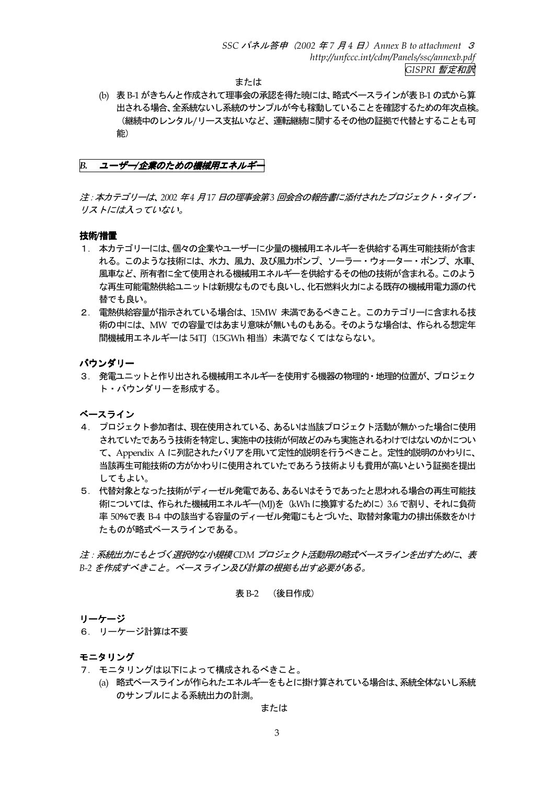または

(b) 表 B-1 がきちんと作成されて理事会の承認を得た暁には、略式ベースラインが表 B-1 の式から算 出される場合、全系統ないし系統のサンプルが今も稼動していることを確認するための年次点検。 (継続中のレンタル/リース支払いなど、運転継続に関するその他の証拠で代替とすることも可 能)

B. ユーザー/企業のための機械用エネルギー

注: 本カテゴリーは、2002年4月17日の理事会第3回会合の報告書に添付されたプロジェクト・タイプ・ リストには入っていない。

#### 技術/措置

- 1. 本カテゴリーには、個々の企業やユーザーに少量の機械用エネルギーを供給する再生可能技術が含ま れる。このような技術には、水力、風力、及び風力ポンプ、ソーラー・ウォーター・ポンプ、水車、 風車など、所有者に全て使用される機械用エネルギーを供給するその他の技術が含まれる。このよう な再生可能電熱供給ユニットは新規なものでも良いし、化石燃料火力による既存の機械用電力源の代 替でも良い。
- 2. 電熱供給容量が指示されている場合は、15MW 未満であるべきこと。このカテゴリーに含まれる技 術の中には、MW での容量ではあまり意味が無いものもある。そのような場合は、作られる想定年 間機械用エネルギーは 54TJ (15GWh 相当) 未満でなくてはならない。

バウンダリー

3. 発電ユニットと作り出される機械用エネルギーを使用する機器の物理的・地理的位置が、プロジェク ト・バウンダリーを形成する。

ベースライン

- 4. プロジェクト参加者は、現在使用されている、あるいは当該プロジェクト活動が無かった場合に使用 されていたであろう技術を特定し、実施中の技術が何故どのみち実施されるわけではないのかについ て、Appendix A に列記されたバリアを用いて定性的説明を行うべきこと。定性的説明のかわりに、 当該再生可能技術の方がかわりに使用されていたであろう技術よりも費用が高いという証拠を提出 してもよい。
- 5. 代替対象となった技術がディーゼル発電である、あるいはそうであったと思われる場合の再生可能技 術については、作られた機械用エネルギー(MJ)を (kWhに換算するために) 3.6 で割り、それに負荷 率 50%で表 B-4 中の該当する容量のディーゼル発電にもとづいた、取替対象電力の排出係数をかけ たものが略式ベースラインである。

注: 系統出力にもとづく選択的な小規模CDM プロジェクト活動用の略式ベースラインを出すために、表 B-2 を作成すべきこと。ベースライン及び計算の根拠も出す必要がある。

#### 表 B-2 (後日作成)

#### リーケージ

6. リーケージ計算は不要

## モニタリング

- 7. モニタリングは以下によって構成されるべきこと。
	- (a) 略式ベースラインが作られたエネルギーをもとに掛け算されている場合は、系統全体ないし系統 のサンプルによる系統出力の計測。

または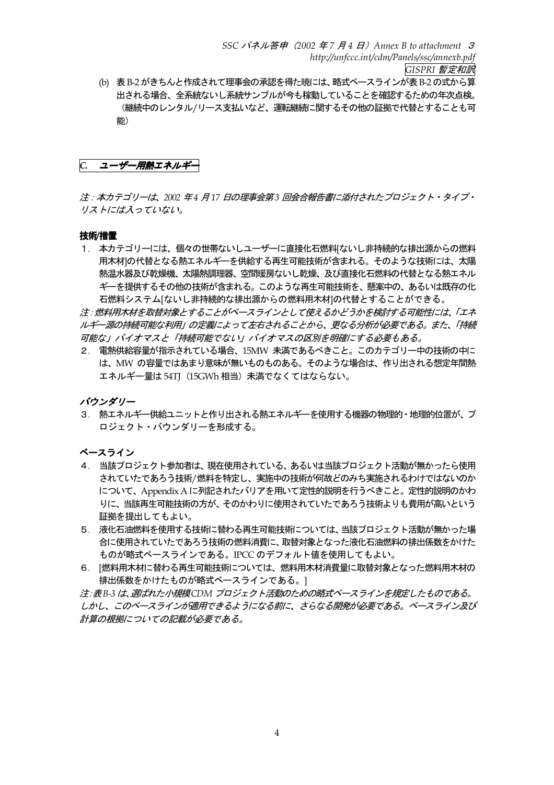(b) 表 B-2 がきちんと作成されて理事会の承認を得た暁には、略式ベースラインが表 B-2 の式から算 出される場合、全系統ないし系統サンプルが今も稼動していることを確認するための年次点検。 (継続中のレンタル/リース支払いなど、運転継続に関するその他の証拠で代替とすることも可 能)

C. ユーザー用熱エネルギー

注: 本カテゴリーは、2002 年4 月17 日の理事会第3 回会合報告書に添付されたプロジェクト・タイプ・ リストには入っていない。

## 技術/措置

1. 本カテゴリーには、個々の世帯ないしユーザーに直接化石燃料「ないし非持続的な排出源からの燃料 用木材Iの代替となる熱エネルギーを供給する再生可能技術が含まれる。そのような技術には、太陽 熱温水器及び乾燥機、太陽熱調理器、空間暖房ないし乾燥、及び直接化石燃料の代替となる熱エネル ギーを提供するその他の技術が含まれる。このような再生可能技術を、懸案中の、あるいは既存の化 石燃料システム「ないし非持続的な排出源からの燃料用木材]の代替とすることができる。

注:燃料用木材を取替対象とすることがベースラインとして使えるかどうかを検討する可能性には、「エネ ルギー源の持続可能な利用」の定義によって左右されることから、更なる分析が必要である。また、「持続 可能な」バイオマスと「持続可能でない」バイオマスの区別を明確にする必要もある。

2. 雷熱供給容量が指示されている場合、15MW 未満であるべきこと。このカテゴリー中の技術の中に は、MW の容量ではあまり意味が無いものものある。そのような場合は、作り出される想定年間熱 エネルギー量は54TT (15GWh相当) 未満でなくてはならない。

バウンダリー

3. 熱エネルギー供給ユニットと作り出される熱エネルギーを使用する機器の物理的·地理的位置が、プ ロジェクト・バウンダリーを形成する。

# ベースライン

- 4. 当該プロジェクト参加者は、現在使用されている、あるいは当該プロジェクト活動が無かったら使用 されていたであろう技術/燃料を特定し、実施中の技術が何故どのみち実施されるわけではないのか について、Appendix A に列記されたバリアを用いて定性的説明を行うべきこと。定性的説明のかわ りに、当該再生可能技術の方が、そのかわりに使用されていたであろう技術よりも費用が高いという 証拠を提出してもよい。
- 5. 液化石油燃料を使用する技術に替わる再生可能技術については、当該プロジェクト活動が無かった場 合に使用されていたであろう技術の燃料消費に、取替対象となった液化石油燃料の排出係数をかけた ものが略式ベースラインである。IPCCのデフォルト値を使用してもよい。
- 6. 「燃料用木材に替わる再生可能技術については、燃料用木材消費量に取替対象となった燃料用木材の 排出係数をかけたものが略式ベースラインである。1

注:表B-3 は、選ばれた小規模CDM プロジェクト活動のための略式ベースラインを規定したものである。 しかし、このベースラインが適用できるようになる前に、さらなる開発が必要である。ベースライン及び 計算の根拠についての記載が必要である。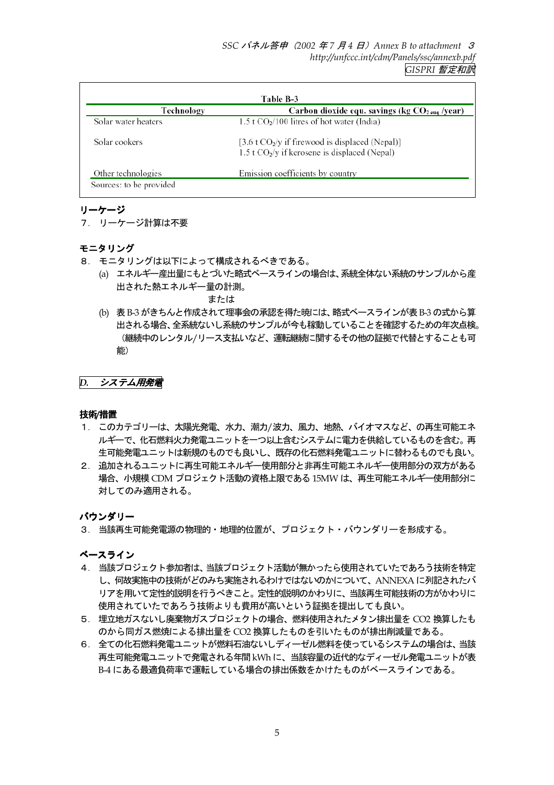| Technology          | Table B-3<br>Carbon dioxide equ. savings (kg $CO2_{eug}$ /year)                                      |
|---------------------|------------------------------------------------------------------------------------------------------|
| Solar water heaters | $1.5$ t CO <sub>2</sub> /100 litres of hot water (India)                                             |
| Solar cookers       | [3.6 t $CO2/y$ if firewood is displaced (Nepal)]<br>1.5 t $CO_2$ /y if kerosene is displaced (Nepal) |
| Other technologies  | Emission coefficients by country                                                                     |

# リーケージ

# 7. リーケージ計算は不要

# モニタリング

- 8. モニタリングは以下によって構成されるべきである。
	- (a) エネルギー産出量にもとづいた略式ベースラインの場合は、系統全体ない系統のサンプルから産 出された熱エネルギー量の計測。

または

(b) 表B-3 がきちんと作成されて理事会の承認を得た暁には、略式ベースラインが表B-3の式から算 出される場合、全系統ないし系統のサンプルが今も稼動していることを確認するための年次点検。 (継続中のレンタル/リース支払いなど、運転継続に関するその他の証拠で代替とすることも可 能)

# D. システム用発電

# 技術/措置

- 1. このカテゴリーは、太陽光発電、水力、潮力/波力、風力、地熱、バイオマスなど、の再生可能エネ ルギーで、化石燃料火力発電ユニットを一つ以上含むシステムに電力を供給しているものを含む。再 生可能発電ユニットは新規のものでも良いし、既存の化石燃料発電ユニットに替わるものでも良い。
- 2. 追加されるユニットに再生可能エネルギー使用部分と非再生可能エネルギー使用部分の双方がある 場合、小規模 CDM プロジェクト活動の資格上限である 15MW は、再生可能エネルギー使用部分に 対してのみ適用される。

# バウンダリー

3. 当該再生可能発電源の物理的・地理的位置が、プロジェクト・バウンダリーを形成する。

ベースライン

- 4. 当該プロジェクト参加者は、当該プロジェクト活動が無かったら使用されていたであろう技術を特定 し、何故実施中の技術がどのみち実施されるわけではないのかについて、ANNEXA に列記されたバ リアを用いて定性的説明を行うべきこと。定性的説明のかわりに、当該再生可能技術の方がかわりに 使用されていたであろう技術よりも費用が高いという証拠を提出しても良い。
- 5. 埋立地ガスないし廃棄物ガスプロジェクトの場合、燃料使用されたメタン排出量を CO2 換算したも のから同ガス燃焼による排出量をCO2 換算したものを引いたものが排出削減量である。
- 6. 全ての化石燃料発電ユニットが燃料石油ないしディーゼル燃料を使っているシステムの場合は、当該 再生可能発電ユニットで発電される年間 kWh に、当該容量の近代的なディーゼル発電ユニットが表 B-4 にある最適負荷率で運転している場合の排出係数をかけたものがベースラインである。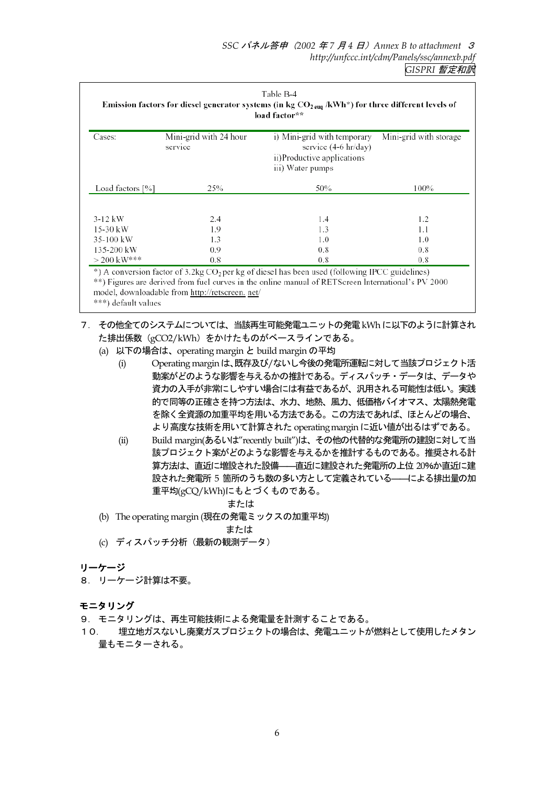| Table B-4<br>Emission factors for diesel generator systems (in kg $CO2 \text{ eug}}$ /kWh*) for three different levels of<br>load factor** |                                   |                                                                                                       |                        |  |
|--------------------------------------------------------------------------------------------------------------------------------------------|-----------------------------------|-------------------------------------------------------------------------------------------------------|------------------------|--|
| Cases:                                                                                                                                     | Mini-grid with 24 hour<br>service | i) Mini-grid with temporary<br>service (4-6 hr/day)<br>ii)Productive applications<br>iii) Water pumps | Mini-grid with storage |  |
| Load factors [%]                                                                                                                           | 25%                               | 50%                                                                                                   | 100%                   |  |
| $3-12$ kW                                                                                                                                  | 2.4                               | 1.4                                                                                                   | 1.2                    |  |
| 15-30 kW                                                                                                                                   | 1.9                               | 1.3                                                                                                   | 1.1                    |  |
| 35-100 kW                                                                                                                                  | 1.3                               | 1.0                                                                                                   | 1.0                    |  |
| 135-200 kW                                                                                                                                 | 0.9                               | 0.8                                                                                                   | 0.8                    |  |
| $> 200$ kW***                                                                                                                              | 0.8                               | 0.8                                                                                                   | 0.8                    |  |

\*\*) Figures are derived from fuel curves in the online manual of RETScreen International's PV 2000 model, downloadable from http://retscreen. net/

# \*\*\*) default values

- 7. その他全てのシステムについては、当該再生可能発電ユニットの発電 kWh に以下のように計算され た排出係数 (gCO2/kWh) をかけたものがベースラインである。
	- (a) 以下の場合は、operating margin と build margin の平均
		- Operating margin は、既存及び/ないし今後の発電所運転に対して当該プロジェクト活  $(i)$ 動案がどのような影響を与えるかの推計である。ディスパッチ・データは、データや 資力の入手が非常にしやすい場合には有益であるが、汎用される可能性は低い。実践 的で同等の正確さを持つ方法は、水力、地熱、風力、低価格バイオマス、太陽熱発電 を除く全資源の加重平均を用いる方法である。この方法であれば、ほとんどの場合、 より高度な技術を用いて計算された operating margin に近い値が出るはずである。
		- $(ii)$ Build margin(あるいは"recently built")は、その他の代替的な発電所の建設に対して当 該プロジェクト案がどのような影響を与えるかを推計するものである。推奨される計 算方法は、直近に増設された設備–––直近に建設された発電所の上位 20%か直近に建 設された発電所 5 箇所のうち数の多い方として定義されている––––––による排出量の加 重平均(gCQ/kWh)にもとづくものである。

# または

(b) The operating margin (現在の発電ミックスの加重平均)

# または

(c) ディスパッチ分析 (最新の観測データ)

# リーケージ

8. リーケージ計算は不要。

- 9. モニタリングは、再生可能技術による発電量を計測することである。
- 埋立地ガスないし廃棄ガスプロジェクトの場合は、発雷ユニットが燃料として使用したメタン  $10<sub>1</sub>$ 量もモニターされる。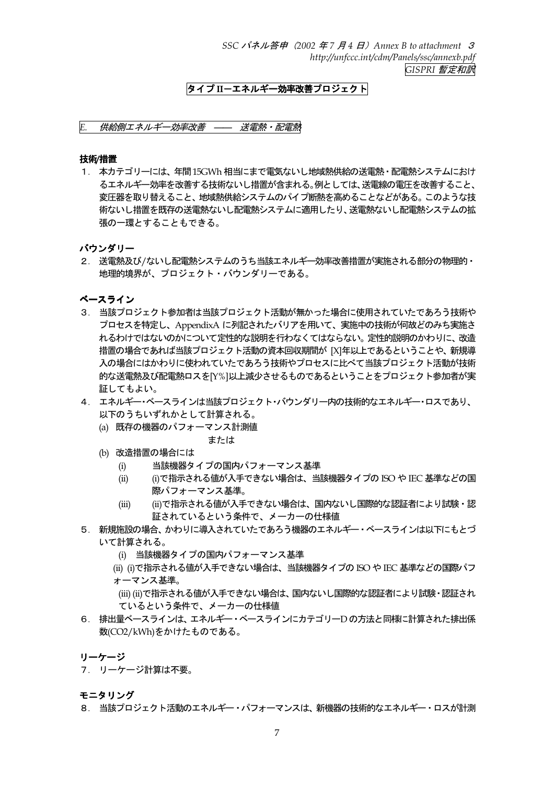SSC パネル答申 (2002 年7 月4 日) Annex B to attachment 3 http://unfccc.int/cdm/Panels/ssc/annexb.pdf GISPRI 暫定和訳

# タイプIIーエネルギー効率改善プロジェクト

## E. 供給側エネルギー効率改善 -- 送電熱・配電熱

#### 技術/措置

1. 本カテゴリーには、年間15GWh相当にまで電気ないし地域熱供給の送電熱・配電熱システムにおけ るエネルギー効率を改善する技術ないし措置が含まれる。例としては、送電線の電圧を改善すること、 変圧器を取り替えること、地域熱供給システムのパイプ断熱を高めることなどがある。このような技 術ないし措置を既存の送雷熱ないし配雷熱システムに適用したり、送雷熱ないし配雷熱システムの拡 張の一環とすることもできる。

#### バウンダリー

2. 送電熱及び/ないし配雷熱システムのうち当該エネルギー効率改善措置が実施される部分の物理的・ 地理的境界が、プロジェクト・バウンダリーである。

# ベースライン

- 3. 当該プロジェクト参加者は当該プロジェクト活動が無かった場合に使用されていたであろう技術や プロセスを特定し、AppendixA に列記されたバリアを用いて、実施中の技術が何故どのみち実施さ れるわけではないのかについて定性的な説明を行わなくてはならない。定性的説明のかわりに、改造 措置の場合であれば当該プロジェクト活動の資本回収期間が [X]年以上であるということや、新規導 入の場合にはかわりに使われていたであろう技術やプロセスに比べて当該プロジェクト活動が技術 的な送電熱及び配電熱ロスをIY%1以上減少させるものであるということをプロジェクト参加者が実 証してもよい。
- 4. エネルギー・ベースラインは当該プロジェクト・バウンダリー内の技術的なエネルギー・ロスであり、 以下のうちいずれかとして計算される。
	- (a) 既存の機器のパフォーマンス計測値
		- または
	- (b) 改造措置の場合には
		- 当該機器タイプの国内パフォーマンス基準  $(i)$
		- (i)で指示される値が入手できない場合は、当該機器タイプの ISO や IEC 基準などの国  $(ii)$ 際パフォーマンス基準。
		- (ii)で指示される値が入手できない場合は、国内ないし国際的な認証者により試験·認  $(iii)$ 証されているという条件で、メーカーの仕様値
- 5. 新規施設の場合、かわりに導入されていたであろう機器のエネルギー・ベースラインは以下にもとづ いて計算される。
	- (i) 当該機器タイプの国内パフォーマンス基準
	- (ii) (i)で指示される値が入手できない場合は、 当該機器タイプの ISO や IEC 基準などの国際パフ ォーマンス基準。
	- (iii) (ii)で指示される値が入手できない場合は、国内ないし国際的な認証者により試験・認証され ているという条件で、メーカーの仕様値
- 6. 排出量ベースラインは、エネルギー・ベースラインにカテゴリーDの方法と同様に計算された排出係 数(CO2/kWh)をかけたものである。

## リーケージ

7. リーケージ計算は不要。

モニタリング

8. 当該プロジェクト活動のエネルギー・パフォーマンスは、新機器の技術的なエネルギー・ロスが計測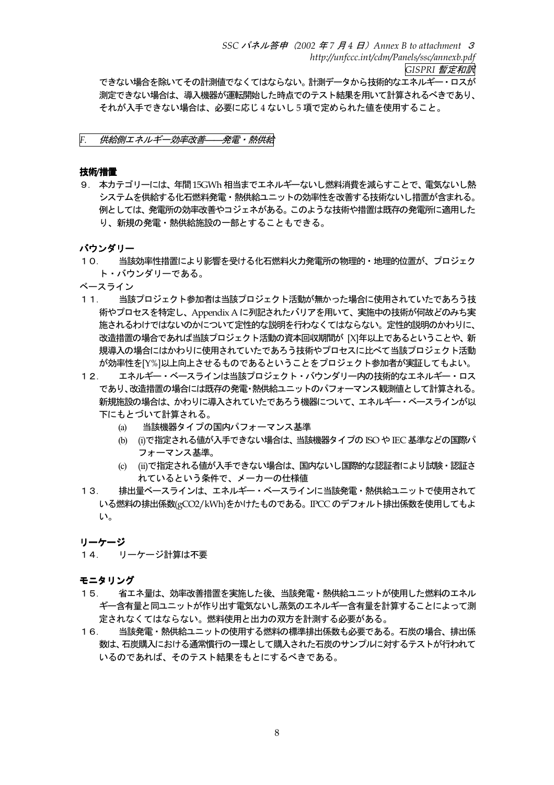できない場合を除いてその計測値でなくてはならない。計測データから技術的なエネルギー・ロスが 測定できない場合は、導入機器が運転開始した時点でのテスト結果を用いて計算されるべきであり、 それが入手できない場合は、必要に応じ4ないし5項で定められた値を使用すること。

F. 供給側エネルギー効率改善––発電・熱供給

## 技術/措置

9. 本カテゴリーには、年間15GWh相当までエネルギーないし燃料消費を減らすことで、電気ないし熱 システムを供給する化石燃料発電・熱供給ユニットの効率性を改善する技術ないし措置が含まれる。 例としては、発電所の効率改善やコジェネがある。このような技術や措置は既存の発電所に適用した り、新規の発電・熱供給施設の一部とすることもできる。

バウンダリー

- $10.$ 当該効率性措置により影響を受ける化石燃料火力発雷所の物理的・地理的位置が、プロジェク ト・バウンダリーである。
- ベースライン
- $11.$ 当該プロジェクト参加者は当該プロジェクト活動が無かった場合に使用されていたであろう技 術やプロセスを特定し、Appendix A に列記されたバリアを用いて、実施中の技術が何故どのみち実 施されるわけではないのかについて定性的な説明を行わなくてはならない。定性的説明のかわりに、 改造措置の場合であれば当該プロジェクト活動の資本回収期間が [X]年以上であるということや、新 規導入の場合にはかわりに使用されていたであろう技術やプロセスに比べて当該プロジェクト活動 が効率性をIY%I以上向上させるものであるということをプロジェクト参加者が実証してもよい。
- エネルギー・ベースラインは当該プロジェクト・バウンダリー内の技術的なエネルギー・ロス  $12.$ であり、改造措置の場合には既存の発電・熱供給ユニットのパフォーマンス観測値として計算される。 新規施設の場合は、かわりに導入されていたであろう機器について、エネルギー・ベースラインが以 下にもとづいて計算される。
	- 当該機器タイプの国内パフォーマンス基準  $(a)$
	- (b) (i)で指定される値が入手できない場合は、当該機器タイプの ISO や IEC 基準などの国際パ フォーマンス基準。
	- (c) (ii)で指定される値が入手できない場合は、国内ないし国際的な認証者により試験・認証さ れているという条件で、メーカーの仕様値
- 排出量ベースラインは、エネルギー・ベースラインに当該発電・熱供給ユニットで使用されて  $13.$ いる燃料の排出係数(gCO2/kWh)をかけたものである。IPCC のデフォルト排出係数を使用してもよ  $\mathsf{L}_{\lambda_{\alpha}}$

リーケージ

14. リーケージ計算は不要

- 省エネ量は、効率改善措置を実施した後、当該発電·熱供給ユニットが使用した燃料のエネル  $15.$ ギー含有量と同ユニットが作り出す電気ないし蒸気のエネルギー含有量を計算することによって測 定されなくてはならない。燃料使用と出力の双方を計測する必要がある。
- $16$ 当該発雷・熱供給ユニットの使用する燃料の標準排出係数も必要である。石炭の場合、排出係 数は、石炭購入における通常慣行の一環として購入された石炭のサンプルに対するテストが行われて いるのであれば、そのテスト結果をもとにするべきである。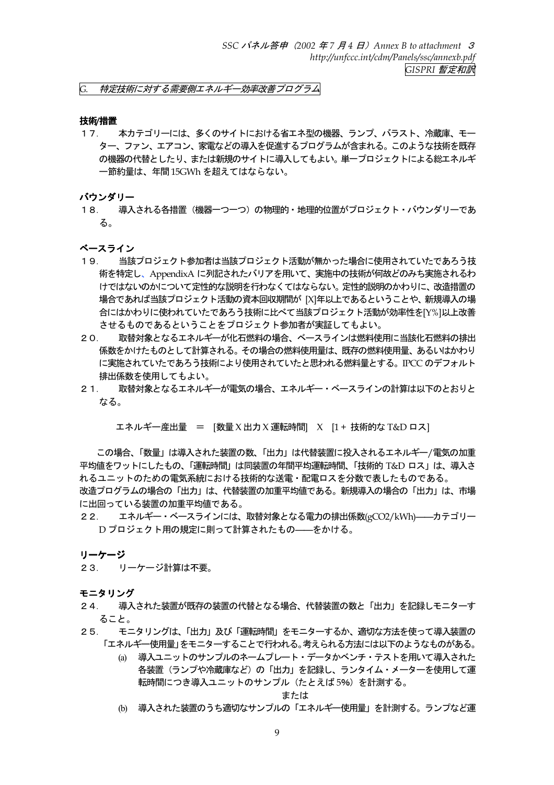特定技術に対する需要側エネルギー効率改善プログラム G.

#### 技術/措置

本カテゴリーには、多くのサイトにおける省エネ型の機器、ランプ、バラスト、冷蔵庫、モー  $17.$ ター、 ファン、 エアコン、 家電などの導入を促進するプログラムが含まれる。 このような技術を既存 の機器の代替としたり、または新規のサイトに導入してもよい。単一プロジェクトによる総エネルギ 一節約量は、年間15GWh を超えてはならない。

バウンダリー

 $18.$ 導入される各措置(機器一つ一つ)の物理的・地理的位置がプロジェクト・バウンダリーであ る。

#### ベースライン

- $19.$ 当該プロジェクト参加者は当該プロジェクト活動が無かった場合に使用されていたであろう技 術を特定し、AppendixA に列記されたバリアを用いて、実施中の技術が何故どのみち実施されるわ けではないのかについて定性的な説明を行わなくてはならない。定性的説明のかわりに、改造措置の 場合であれば当該プロジェクト活動の資本回収期間が [X]年以上であるということや、新規導入の場 合にはかわりに使われていたであろう技術に比べて当該プロジェクト活動が効率性を[Y%]以上改善 させるものであるということをプロジェクト参加者が実証してもよい。
- 取替対象となるエネルギーが化石燃料の場合、ベースラインは燃料使用に当該化石燃料の排出  $20.$ 係数をかけたものとして計算される。その場合の燃料使用量は、既存の燃料使用量、あるいはかわり に実施されていたであろう技術により使用されていたと思われる燃料量とする。IPCC のデフォルト 排出係数を使用してもよい。
- 取替対象となるエネルギーが雷気の場合、エネルギー・ベースラインの計算は以下のとおりと  $21.$ なる。

エネルギー産出量 = [数量 X 出力 X 運転時間] X [1 + 技術的な T&D ロス]

この場合、「数量」は導入された装置の数、「出力」は代替装置に投入されるエネルギー/電気の加重 平均値をワットにしたもの、「運転時間」は同装置の年間平均運転時間、「技術的 T&D ロス」は、導入さ れるユニットのための電気系統における技術的な送電・配電ロスを分数で表したものである。 改造プログラムの場合の「出力」は、代替装置の加重平均値である。新規導入の場合の「出力」は、市場 に出回っている装置の加重平均値である。

エネルギー・ベースラインには、取替対象となる電力の排出係数(gCO2/kWh)–––カテゴリー  $22$ D プロジェクト用の規定に則って計算されたもの–––をかける。

リーケージ

23. リーケージ計算は不要。

モニタリング

- 導入された装置が既存の装置の代替となる場合、代替装置の数と「出力」を記録しモニターす  $24.$ ること。
- モニタリングは、「出力」及び「運転時間」をモニターするか、適切な方法を使って導入装置の  $25.$ 「エネルギ―使用量」をモニターすることで行われる。考えられる方法には以下のようなものがある。
	- (a) 導入ユニットのサンプルのネームプレート・データかベンチ・テストを用いて導入された 各装置(ランプや冷蔵庫など)の「出力」を記録し、ランタイム・メーターを使用して運 転時間につき導入ユニットのサンプル (たとえば5%) を計測する。

または

(b) 導入された装置のうち適切なサンプルの「エネルギー使用量」を計測する。ランプなど運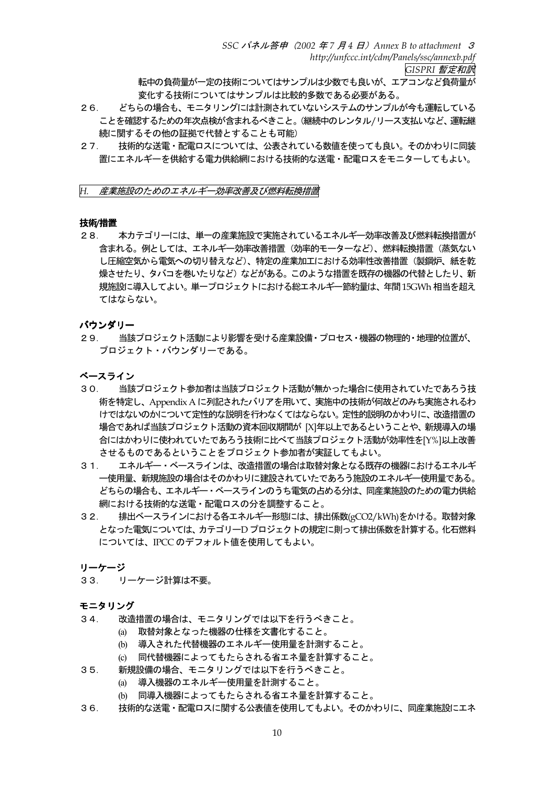転中の負荷量が一定の技術についてはサンプルは少数でも良いが、エアコンなど負荷量が 変化する技術についてはサンプルは比較的多数である必要がある。

- $26.$ どちらの場合も、モニタリングには計測されていないシステムのサンプルが今も運転している ことを確認するための年次点検が含まれるべきこと。(継続中のレンタル/リース支払いなど、運転継 続に関するその他の証拠で代替とすることも可能)
- $27.$ 技術的な送電・配電ロスについては、公表されている数値を使っても良い。そのかわりに同装 置にエネルギーを供給する電力供給網における技術的な送電・配電ロスをモニターしてもよい。

#### H. 産業施設のためのエネルギー効率改善及び燃料転換措置

# 技術/措置

本カテゴリーには、単一の産業施設で実施されているエネルギー効率改善及び燃料転換措置が  $28.$ 含まれる。例としては、エネルギー効率改善措置(効率的モーターなど)、燃料転換措置(蒸気ない し圧縮空気から雷気への切り替えなど)、特定の産業加工における効率性改善措置(製鋼炉、紙を乾 燥させたり、タバコを巻いたりなど)などがある。このような措置を既存の機器の代替としたり、新 規施設に導入してよい。 単一プロジェクトにおける総エネルギー節約量は、年間15GWh 相当を超え てはならない。

# バウンダリー

当該プロジェクト活動により影響を受ける産業設備・プロセス・機器の物理的・地理的位置が、  $29.$ プロジェクト・バウンダリーである。

## ベースライン

- 当該プロジェクト参加者は当該プロジェクト活動が無かった場合に使用されていたであろう技  $30<sub>1</sub>$ 術を特定し、Appendix A に列記されたバリアを用いて、実施中の技術が何故どのみち実施されるわ けではないのかについて定性的な説明を行わなくてはならない。定性的説明のかわりに、改造措置の 場合であれば当該プロジェクト活動の資本回収期間が「X1年以上であるということや、新規導入の場 合にはかわりに使われていたであろう技術に比べて当該プロジェクト活動が効率性を[Y%]以上改善 させるものであるということをプロジェクト参加者が実証してもよい。
- エネルギー・ベースラインは、改造措置の場合は取替対象となる既存の機器におけるエネルギ  $31.$ 一使用量、新規施設の場合はそのかわりに建設されていたであろう施設のエネルギー使用量である。 どちらの場合も、エネルギー・ベースラインのうち雷気の占める分は、同産業施設のための電力供給 網における技術的な送電・配電ロスの分を調整すること。
- 排出ベースラインにおける各エネルギー形態には、排出係数(gCO2/kWh)をかける。取替対象  $32.$ となった電気については、カテゴリーD プロジェクトの規定に則って排出係数を計算する。化石燃料 については、IPCCのデフォルト値を使用してもよい。

#### リーケージ

33. リーケージ計算は不要。

- 改造措置の場合は、モニタリングでは以下を行うべきこと。  $34$ 
	- (a) 取替対象となった機器の仕様を文書化すること。
	- (b) 導入された代替機器のエネルギー使用量を計測すること。
	- (c) 同代替機器によってもたらされる省エネ量を計算すること。
- $35$ 新規設備の場合、モニタリングでは以下を行うべきこと。
	- (a) 導入機器のエネルギー使用量を計測すること。
		- (b) 同導入機器によってもたらされる省エネ量を計算すること。
- 技術的な送電・配電ロスに関する公表値を使用してもよい。そのかわりに、同産業施設にエネ  $36.$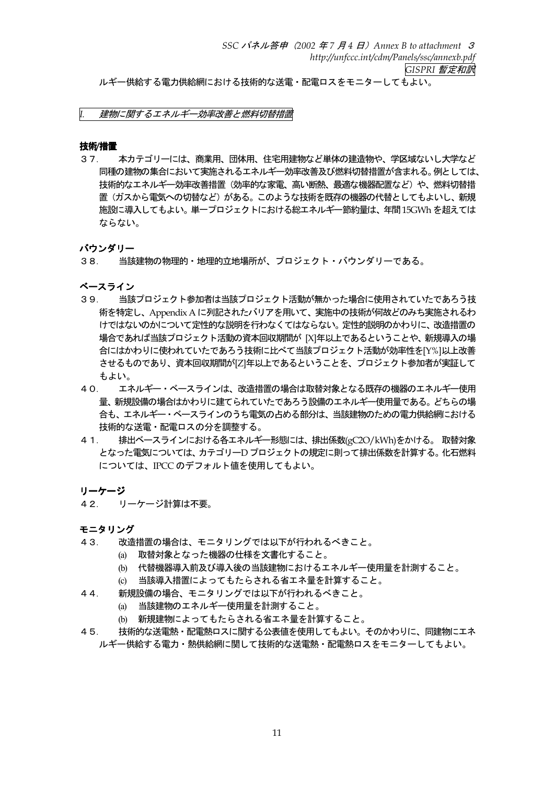ルギー供給する電力供給網における技術的な送電・配電ロスをモニターしてもよい。

# 建物に関するエネルギー効率改善と燃料切替措置

## 技術/措置

本カテゴリーには、商業用、団体用、住宅用建物など単体の建造物や、学区域ないし大学など  $37.$ 同種の建物の集合において実施されるエネルギー効率改善及び燃料切替措置が含まれる。例としては、 技術的なエネルギー効率改善措置(効率的な家電、高い断熱、最適な機器配置など)や、燃料切替措 置(ガスから電気への切替など)がある。このような技術を既存の機器の代替としてもよいし、新規 施設に導入してもよい。 単一プロジェクトにおける総エネルギー節約量は、年間 15GWh を超えては ならない。

# バウンダリー

当該建物の物理的・地理的立地場所が、プロジェクト・バウンダリーである。  $38.$ 

ベースライン

- $39.$ 当該プロジェクト参加者は当該プロジェクト活動が無かった場合に使用されていたであろう技 術を特定し、Appendix A に列記されたバリアを用いて、実施中の技術が何故どのみち実施されるわ けではないのかについて定性的な説明を行わなくてはならない。定性的説明のかわりに、改造措置の 場合であれば当該プロジェクト活動の資本回収期間が [X]年以上であるということや、新規導入の場 合にはかわりに使われていたであろう技術に比べて当該プロジェクト活動が効率性を[Y%]以上改善 させるものであり、資本回収期間が[Z]年以上であるということを、プロジェクト参加者が実証して もよい。
- $40.$ エネルギー・ベースラインは、改造措置の場合は取替対象となる既存の機器のエネルギー使用 量、新規設備の場合はかわりに建てられていたであろう設備のエネルギー使用量である。どちらの場 合も、エネルギー・ベースラインのうち雷気の占める部分は、当該建物のための雷力供給網における 技術的な送電・配電ロスの分を調整する。
- $41.$ 排出ベースラインにおける各エネルギー形態には、排出係数(gC2O/kWh)をかける。 取替対象 となった雷気については、カテゴリーD プロジェクトの規定に則って排出係数を計算する。 化石燃料 については、IPCCのデフォルト値を使用してもよい。

# リーケージ

 $42.$ リーケージ計算は不要。

- $43.$ 改造措置の場合は、モニタリングでは以下が行われるべきこと。
	- (a) 取替対象となった機器の仕様を文書化すること。
	- (b) 代替機器導入前及び導入後の当該建物におけるエネルギー使用量を計測すること。
	- (c) 当該導入措置によってもたらされる省エネ量を計算すること。
- 44. 新規設備の場合、モニタリングでは以下が行われるべきこと。
	- (a) 当該建物のエネルギー使用量を計測すること。
	- (b) 新規建物によってもたらされる省エネ量を計算すること。
- 4.5 技術的な送電熱・配電熱ロスに関する公表値を使用してもよい。そのかわりに、同建物にエネ ルギー供給する雷力・熱供給網に関して技術的な送雷熱・配雷熱ロスをモニターしてもよい。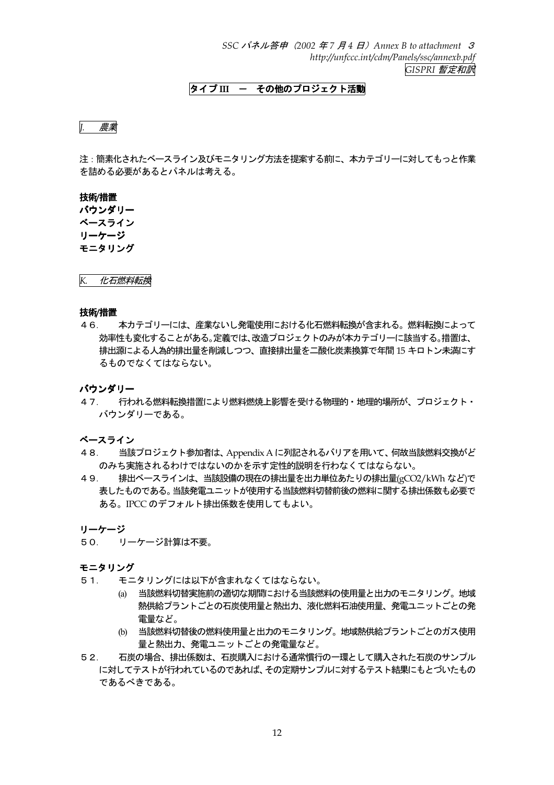SSC パネル答申 (2002 年7 月4 日) Annex B to attachment 3 http://unfccc.int/cdm/Panels/ssc/annexb.pdf GISPRI 暫定和訳

# タイプⅢ ー その他のプロジェクト活動

## J. 農業

注:簡素化されたベースライン及びモニタリング方法を提案する前に、本カテゴリーに対してもっと作業 を詰める必要があるとパネルは考える。

# 技術/措置

バウンダリー ベースライン リーケージ モニタリング

化石燃料転換  $K_{\cdot}$ 

#### 技術/措置

46 本カテゴリーには、産業ないし発雷使用における化石燃料転換が含まれる。燃料転換によって 効率性も変化することがある。定義では、改造プロジェクトのみが本カテゴリーに該当する。措置は、 排出源による人為的排出量を削減しつつ、直接排出量を二酸化炭素換算で年間 15 キロトン未満にす るものでなくてはならない。

#### バウンダリー

47. 行われる燃料転換措置により燃料燃焼上影響を受ける物理的・地理的場所が、プロジェクト・ バウンダリーである。

# ベースライン

- 当該プロジェクト参加者は、Appendix A に列記されるバリアを用いて、何故当該燃料交換がど 48. のみち実施されるわけではないのかを示す定性的説明を行わなくてはならない。
- 49. 排出ベースラインは、当該設備の現在の排出量を出力単位あたりの排出量(gCO2/kWh など)で 表したものである。当該発電ユニットが使用する当該燃料切替前後の燃料に関する排出係数も必要で ある。IPCCのデフォルト排出係数を使用してもよい。

リーケージ

50. リーケージ計算は不要。

- $51.$ モニタリングには以下が含まれなくてはならない。
	- (a) 当該燃料切替実施前の適切な期間における当該燃料の使用量と出力のモニタリング。地域 熱供給プラントごとの石炭使用量と熱出力、液化燃料石油使用量、発電ユニットごとの発 雷量など。
	- (b) 当該燃料切替後の燃料使用量と出力のモニタリング。地域熱供給プラントごとのガス使用 量と熱出力、発電ユニットごとの発電量など。
- $52.$ 石炭の場合、排出係数は、石炭購入における通常慣行の一環として購入された石炭のサンプル に対してテストが行われているのであれば、その定期サンプルに対するテスト結果にもとづいたもの であるべきである。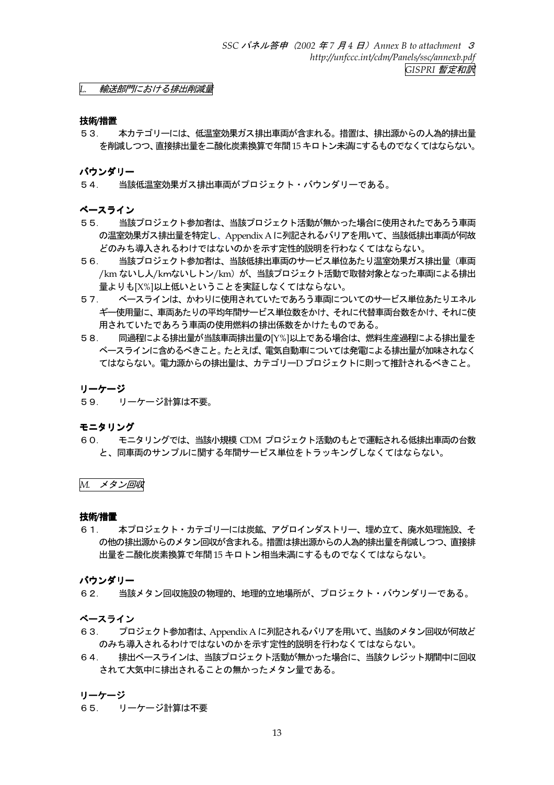輸送部門における排出削減量

#### 技術/措置

本カテゴリーには、低温室効果ガス排出車両が含まれる。措置は、排出源からの人為的排出量  $53.$ を削減しつつ、直接排出量を二酸化炭素換算で年間15キロトン未満にするものでなくてはならない。

バウンダリー

54. 当該低温室効果ガス排出車両がプロジェクト・バウンダリーである。

#### ベースライン

- 当該プロジェクト参加者は、当該プロジェクト活動が無かった場合に使用されたであろう車両  $55.$ の温室効果ガス排出量を特定し、Appendix A に列記されるバリアを用いて、当該低排出車両が何故 どのみち導入されるわけではないのかを示す定性的説明を行わなくてはならない。
- 当該プロジェクト参加者は、当該低排出車両のサービス単位あたり温室効果ガス排出量(車両  $56.$ /km ないし人/kmないしトン/km) が、当該プロジェクト活動で取替対象となった車両による排出 量よりも[X%]以上低いということを実証しなくてはならない。
- 57. ベースラインは、かわりに使用されていたであろう車両についてのサービス単位あたりエネル ギー使用量に、車両あたりの平均年間サービス単位数をかけ、それに代替車両台数をかけ、それに使 用されていたであろう車両の使用燃料の排出係数をかけたものである。
- 同過程による排出量が当該車両排出量の[Y%]以上である場合は、燃料生産過程による排出量を 58. ベースラインに含めるべきこと。たとえば、電気自動車については発電による排出量が加味されなく てはならない。雷力源からの排出量は、カテゴリーD プロジェクトに則って推計されるべきこと。

#### リーケージ

59. リーケージ計算は不要。

#### モニタリング

60. - モニタリングでは、当該小規模 CDM プロジェクト活動のもとで運転される低排出車両の台数 と、同車両のサンプルに関する年間サービス単位をトラッキングしなくてはならない。

M. メタン回収

#### 技術/措置

本プロジェクト・カテゴリーには炭鉱、アグロインダストリー、埋め立て、廃水処理施設、そ 6.1 の他の排出源からのメタン回収が含まれる。措置は排出源からの人為的排出量を削減しつつ、直接排 出量を二酸化炭素換算で年間15キロトン相当未満にするものでなくてはならない。

#### バウンダリー

 $62.$ 当該メタン回収施設の物理的、地理的立地場所が、プロジェクト・バウンダリーである。

#### ベースライン

- プロジェクト参加者は、Appendix A に列記されるバリアを用いて、当該のメタン回収が何故ど 63. のみち導入されるわけではないのかを示す定性的説明を行わなくてはならない。
- 64. 排出ベースラインは、当該プロジェクト活動が無かった場合に、当該クレジット期間中に回収 されて大気中に排出されることの無かったメタン量である。

#### リーケージ

65. リーケージ計算は不要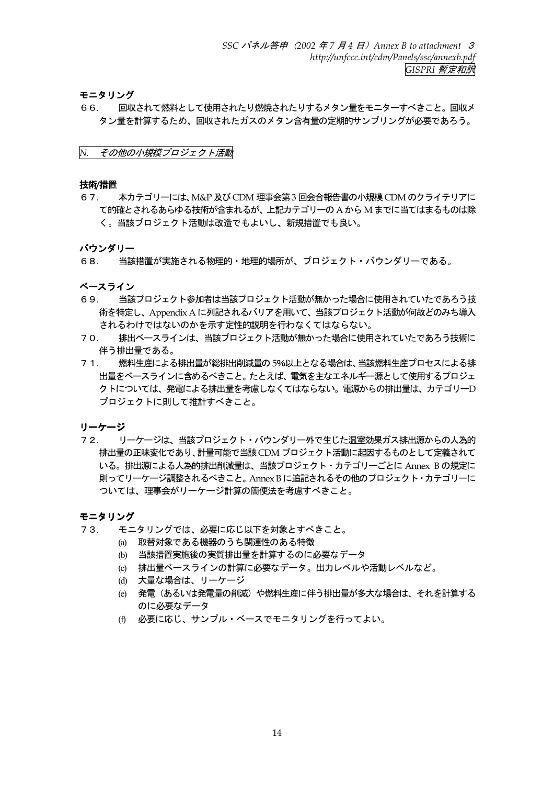モニタリング

回収されて燃料として使用されたり燃焼されたりするメタン量をモニターすべきこと。回収メ 66. タン量を計算するため、回収されたガスのメタン含有量の定期的サンプリングが必要であろう。

その他の小規模プロジェクト活動  $N$ .

#### 技術/措置

本カテゴリーには、M&P 及び CDM 理事会第3回会合報告書の小規模 CDM のクライテリアに 67. て的確とされるあらゆる技術が含まれるが、上記カテゴリーの A から M までに当てはまるものは除 く。当該プロジェクト活動は改造でもよいし、新規措置でも良い。

## バウンダリー

当該措置が実施される物理的・地理的場所が、プロジェクト・バウンダリーである。 68.

ベースライン

- 69. 当該プロジェクト参加者は当該プロジェクト活動が無かった場合に使用されていたであろう技 術を特定し、Appendix A に列記されるバリアを用いて、当該プロジェクト活動が何故どのみち導入 されるわけではないのかを示す定性的説明を行わなくてはならない。
- 排出ベースラインは、当該プロジェクト活動が無かった場合に使用されていたであろう技術に  $70$ 伴う排出量である。
- 燃料生産による排出量が総排出削減量の5%以上となる場合は、当該燃料生産プロセスによる排  $71.$ 出量をベースラインに含めるべきこと。たとえば、電気を主なエネルギー源として使用するプロジェ クトについては、発雷による排出量を考慮しなくてはならない。雷源からの排出量は、カテゴリーD プロジェクトに則して推計すべきこと。

リーケージ

 $72.$ リーケージは、当該プロジェクト・バウンダリー外で生じた温室効果ガス排出源からの人為的 排出量の正味変化であり、計量可能で当該CDM プロジェクト活動に起因するものとして定義されて いる。排出源による人為的排出削減量は、当該プロジェクト・カテゴリーごとに Annex B の規定に 則ってリーケージ調整されるべきこと。 Annex B に追記されるその他のプロジェクト・カテゴリーに ついては、理事会がリーケージ計算の簡便法を考慮すべきこと。

- モニタリングでは、必要に応じ以下を対象とすべきこと。  $73$ 
	- (a) 取替対象である機器のうち関連性のある特徴
	- (b) 当該措置実施後の実質排出量を計算するのに必要なデータ
	- (c) 排出量ベースラインの計算に必要なデータ。出力レベルや活動レベルなど。
	- (d) 大量な場合は、 リーケージ
	- (e) 発電(あるいは発電量の削減)や燃料生産に伴う排出量が多大な場合は、それを計算する のに必要なデータ
	- (f) 必要に応じ、サンプル・ベースでモニタリングを行ってよい。